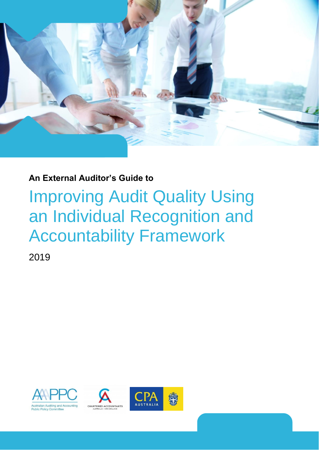

### **An External Auditor's Guide to**

# Improving Audit Quality Using an Individual Recognition and Accountability Framework

2019

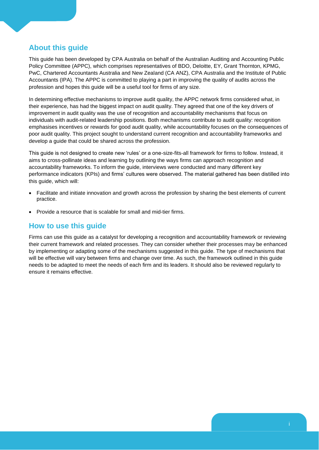### **About this guide**

This guide has been developed by CPA Australia on behalf of the Australian Auditing and Accounting Public Policy Committee (APPC), which comprises representatives of BDO, Deloitte, EY, Grant Thornton, KPMG, PwC, Chartered Accountants Australia and New Zealand (CA ANZ), CPA Australia and the Institute of Public Accountants (IPA). The APPC is committed to playing a part in improving the quality of audits across the profession and hopes this guide will be a useful tool for firms of any size.

In determining effective mechanisms to improve audit quality, the APPC network firms considered what, in their experience, has had the biggest impact on audit quality. They agreed that one of the key drivers of improvement in audit quality was the use of recognition and accountability mechanisms that focus on individuals with audit-related leadership positions. Both mechanisms contribute to audit quality: recognition emphasises incentives or rewards for good audit quality, while accountability focuses on the consequences of poor audit quality. This project sought to understand current recognition and accountability frameworks and develop a guide that could be shared across the profession.

This guide is not designed to create new 'rules' or a one-size-fits-all framework for firms to follow. Instead, it aims to cross-pollinate ideas and learning by outlining the ways firms can approach recognition and accountability frameworks. To inform the guide, interviews were conducted and many different key performance indicators (KPIs) and firms' cultures were observed. The material gathered has been distilled into this guide, which will:

- Facilitate and initiate innovation and growth across the profession by sharing the best elements of current practice.
- Provide a resource that is scalable for small and mid-tier firms.

#### **How to use this guide**

Firms can use this guide as a catalyst for developing a recognition and accountability framework or reviewing their current framework and related processes. They can consider whether their processes may be enhanced by implementing or adapting some of the mechanisms suggested in this guide. The type of mechanisms that will be effective will vary between firms and change over time. As such, the framework outlined in this guide needs to be adapted to meet the needs of each firm and its leaders. It should also be reviewed regularly to ensure it remains effective.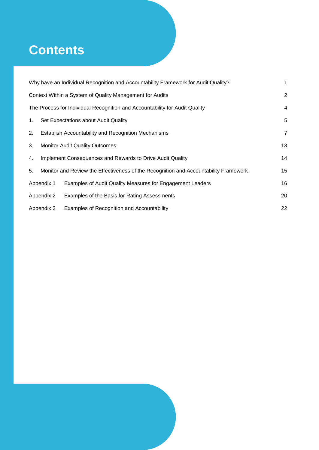## **Contents**

|    | Why have an Individual Recognition and Accountability Framework for Audit Quality? |                                                                                      |                |
|----|------------------------------------------------------------------------------------|--------------------------------------------------------------------------------------|----------------|
|    |                                                                                    | Context Within a System of Quality Management for Audits                             | 2              |
|    |                                                                                    | The Process for Individual Recognition and Accountability for Audit Quality          | $\overline{4}$ |
| 1. | Set Expectations about Audit Quality                                               |                                                                                      | 5              |
| 2. | Establish Accountability and Recognition Mechanisms                                |                                                                                      | $\overline{7}$ |
| 3. | <b>Monitor Audit Quality Outcomes</b>                                              |                                                                                      |                |
| 4. | 14<br>Implement Consequences and Rewards to Drive Audit Quality                    |                                                                                      |                |
| 5. |                                                                                    | Monitor and Review the Effectiveness of the Recognition and Accountability Framework | 15             |
|    | Appendix 1                                                                         | Examples of Audit Quality Measures for Engagement Leaders                            | 16             |
|    | Appendix 2                                                                         | Examples of the Basis for Rating Assessments                                         | 20             |
|    | Appendix 3                                                                         | Examples of Recognition and Accountability                                           | 22             |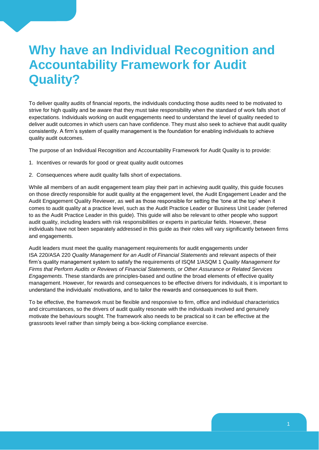## <span id="page-3-0"></span>**Why have an Individual Recognition and Accountability Framework for Audit Quality?**

To deliver quality audits of financial reports, the individuals conducting those audits need to be motivated to strive for high quality and be aware that they must take responsibility when the standard of work falls short of expectations. Individuals working on audit engagements need to understand the level of quality needed to deliver audit outcomes in which users can have confidence. They must also seek to achieve that audit quality consistently. A firm's system of quality management is the foundation for enabling individuals to achieve quality audit outcomes.

The purpose of an Individual Recognition and Accountability Framework for Audit Quality is to provide:

- 1. Incentives or rewards for good or great quality audit outcomes
- 2. Consequences where audit quality falls short of expectations.

While all members of an audit engagement team play their part in achieving audit quality, this guide focuses on those directly responsible for audit quality at the engagement level, the Audit Engagement Leader and the Audit Engagement Quality Reviewer, as well as those responsible for setting the 'tone at the top' when it comes to audit quality at a practice level, such as the Audit Practice Leader or Business Unit Leader (referred to as the Audit Practice Leader in this guide). This guide will also be relevant to other people who support audit quality, including leaders with risk responsibilities or experts in particular fields. However, these individuals have not been separately addressed in this guide as their roles will vary significantly between firms and engagements.

Audit leaders must meet the quality management requirements for audit engagements under ISA 220/ASA 220 *Quality Management for an Audit of Financial Statements* and relevant aspects of their firm's quality management system to satisfy the requirements of ISQM 1/ASQM 1 *Quality Management for Firms that Perform Audits or Reviews of Financial Statements, or Other Assurance or Related Services Engagements*. These standards are principles-based and outline the broad elements of effective quality management. However, for rewards and consequences to be effective drivers for individuals, it is important to understand the individuals' motivations, and to tailor the rewards and consequences to suit them.

To be effective, the framework must be flexible and responsive to firm, office and individual characteristics and circumstances, so the drivers of audit quality resonate with the individuals involved and genuinely motivate the behaviours sought. The framework also needs to be practical so it can be effective at the grassroots level rather than simply being a box-ticking compliance exercise.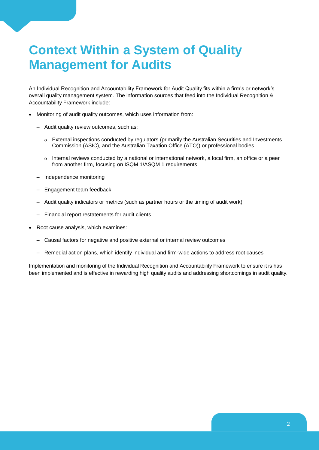## <span id="page-4-0"></span>**Context Within a System of Quality Management for Audits**

An Individual Recognition and Accountability Framework for Audit Quality fits within a firm's or network's overall quality management system. The information sources that feed into the Individual Recognition & Accountability Framework include:

- Monitoring of audit quality outcomes, which uses information from:
	- Audit quality review outcomes, such as:
		- External inspections conducted by regulators (primarily the Australian Securities and Investments Commission (ASIC), and the Australian Taxation Office (ATO)) or professional bodies
		- o Internal reviews conducted by a national or international network, a local firm, an office or a peer from another firm, focusing on ISQM 1/ASQM 1 requirements
	- Independence monitoring
	- Engagement team feedback
	- Audit quality indicators or metrics (such as partner hours or the timing of audit work)
	- Financial report restatements for audit clients
- Root cause analysis, which examines:
	- Causal factors for negative and positive external or internal review outcomes
	- Remedial action plans, which identify individual and firm-wide actions to address root causes

Implementation and monitoring of the Individual Recognition and Accountability Framework to ensure it is has been implemented and is effective in rewarding high quality audits and addressing shortcomings in audit quality.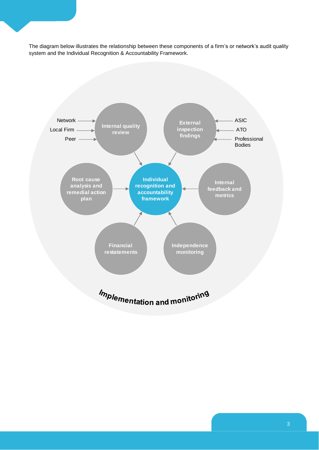The diagram below illustrates the relationship between these components of a firm's or network's audit quality system and the Individual Recognition & Accountability Framework.

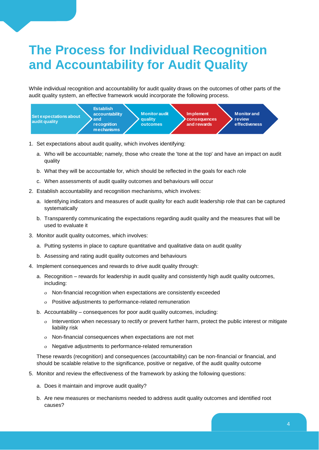## <span id="page-6-0"></span>**The Process for Individual Recognition and Accountability for Audit Quality**

While individual recognition and accountability for audit quality draws on the outcomes of other parts of the audit quality system, an effective framework would incorporate the following process.



- 1. Set expectations about audit quality, which involves identifying:
	- a. Who will be accountable; namely, those who create the 'tone at the top' and have an impact on audit quality
	- b. What they will be accountable for, which should be reflected in the goals for each role
	- c. When assessments of audit quality outcomes and behaviours will occur
- 2. Establish accountability and recognition mechanisms, which involves:
	- a. Identifying indicators and measures of audit quality for each audit leadership role that can be captured systematically
	- b. Transparently communicating the expectations regarding audit quality and the measures that will be used to evaluate it
- 3. Monitor audit quality outcomes, which involves:
	- a. Putting systems in place to capture quantitative and qualitative data on audit quality
	- b. Assessing and rating audit quality outcomes and behaviours
- 4. Implement consequences and rewards to drive audit quality through:
	- a. Recognition rewards for leadership in audit quality and consistently high audit quality outcomes, including:
		- Non-financial recognition when expectations are consistently exceeded
		- Positive adjustments to performance-related remuneration
	- b. Accountability consequences for poor audit quality outcomes, including:
		- o Intervention when necessary to rectify or prevent further harm, protect the public interest or mitigate liability risk
		- Non-financial consequences when expectations are not met
		- Negative adjustments to performance-related remuneration

These rewards (recognition) and consequences (accountability) can be non-financial or financial, and should be scalable relative to the significance, positive or negative, of the audit quality outcome

- 5. Monitor and review the effectiveness of the framework by asking the following questions:
	- a. Does it maintain and improve audit quality?
	- b. Are new measures or mechanisms needed to address audit quality outcomes and identified root causes?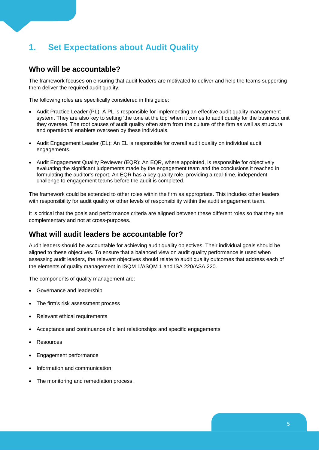## <span id="page-7-0"></span>**1. Set Expectations about Audit Quality**

#### **Who will be accountable?**

The framework focuses on ensuring that audit leaders are motivated to deliver and help the teams supporting them deliver the required audit quality.

The following roles are specifically considered in this guide:

- Audit Practice Leader (PL): A PL is responsible for implementing an effective audit quality management system. They are also key to setting 'the tone at the top' when it comes to audit quality for the business unit they oversee. The root causes of audit quality often stem from the culture of the firm as well as structural and operational enablers overseen by these individuals.
- Audit Engagement Leader (EL): An EL is responsible for overall audit quality on individual audit engagements.
- Audit Engagement Quality Reviewer (EQR): An EQR, where appointed, is responsible for objectively evaluating the significant judgements made by the engagement team and the conclusions it reached in formulating the auditor's report. An EQR has a key quality role, providing a real-time, independent challenge to engagement teams before the audit is completed.

The framework could be extended to other roles within the firm as appropriate. This includes other leaders with responsibility for audit quality or other levels of responsibility within the audit engagement team.

It is critical that the goals and performance criteria are aligned between these different roles so that they are complementary and not at cross-purposes.

#### **What will audit leaders be accountable for?**

Audit leaders should be accountable for achieving audit quality objectives. Their individual goals should be aligned to these objectives. To ensure that a balanced view on audit quality performance is used when assessing audit leaders, the relevant objectives should relate to audit quality outcomes that address each of the elements of quality management in ISQM 1/ASQM 1 and ISA 220/ASA 220.

The components of quality management are:

- Governance and leadership
- The firm's risk assessment process
- Relevant ethical requirements
- Acceptance and continuance of client relationships and specific engagements
- **Resources**
- Engagement performance
- Information and communication
- The monitoring and remediation process.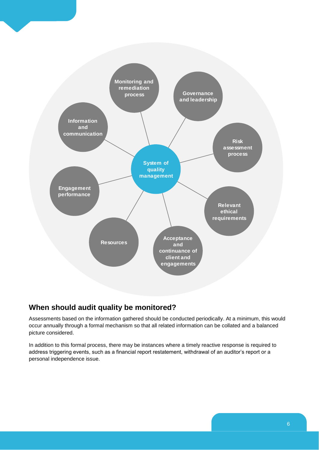

#### **When should audit quality be monitored?**

Assessments based on the information gathered should be conducted periodically. At a minimum, this would occur annually through a formal mechanism so that all related information can be collated and a balanced picture considered.

In addition to this formal process, there may be instances where a timely reactive response is required to address triggering events, such as a financial report restatement, withdrawal of an auditor's report or a personal independence issue.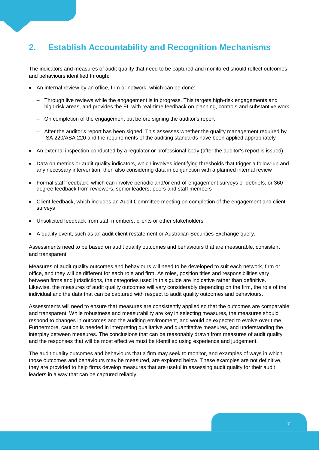## <span id="page-9-0"></span>**2. Establish Accountability and Recognition Mechanisms**

The indicators and measures of audit quality that need to be captured and monitored should reflect outcomes and behaviours identified through:

- An internal review by an office, firm or network, which can be done:
	- Through live reviews while the engagement is in progress. This targets high-risk engagements and high-risk areas, and provides the EL with real-time feedback on planning, controls and substantive work
	- On completion of the engagement but before signing the auditor's report
	- After the auditor's report has been signed. This assesses whether the quality management required by ISA 220/ASA 220 and the requirements of the auditing standards have been applied appropriately
- An external inspection conducted by a regulator or professional body (after the auditor's report is issued)
- Data on metrics or audit quality indicators, which involves identifying thresholds that trigger a follow-up and any necessary intervention, then also considering data in conjunction with a planned internal review
- Formal staff feedback, which can involve periodic and/or end-of-engagement surveys or debriefs, or 360 degree feedback from reviewers, senior leaders, peers and staff members
- Client feedback, which includes an Audit Committee meeting on completion of the engagement and client surveys
- Unsolicited feedback from staff members, clients or other stakeholders
- A quality event, such as an audit client restatement or Australian Securities Exchange query.

Assessments need to be based on audit quality outcomes and behaviours that are measurable, consistent and transparent.

Measures of audit quality outcomes and behaviours will need to be developed to suit each network, firm or office, and they will be different for each role and firm. As roles, position titles and responsibilities vary between firms and jurisdictions, the categories used in this guide are indicative rather than definitive. Likewise, the measures of audit quality outcomes will vary considerably depending on the firm, the role of the individual and the data that can be captured with respect to audit quality outcomes and behaviours.

Assessments will need to ensure that measures are consistently applied so that the outcomes are comparable and transparent. While robustness and measurability are key in selecting measures, the measures should respond to changes in outcomes and the auditing environment, and would be expected to evolve over time. Furthermore, caution is needed in interpreting qualitative and quantitative measures, and understanding the interplay between measures. The conclusions that can be reasonably drawn from measures of audit quality and the responses that will be most effective must be identified using experience and judgement.

The audit quality outcomes and behaviours that a firm may seek to monitor, and examples of ways in which those outcomes and behaviours may be measured, are explored below. These examples are not definitive, they are provided to help firms develop measures that are useful in assessing audit quality for their audit leaders in a way that can be captured reliably.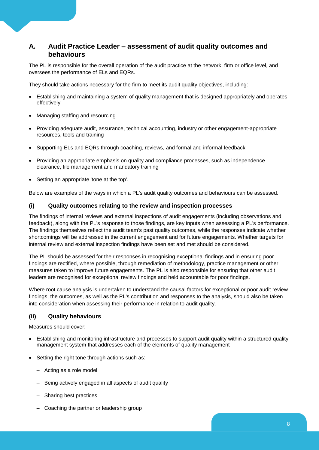#### **A. Audit Practice Leader – assessment of audit quality outcomes and behaviours**

The PL is responsible for the overall operation of the audit practice at the network, firm or office level, and oversees the performance of ELs and EQRs.

They should take actions necessary for the firm to meet its audit quality objectives, including:

- Establishing and maintaining a system of quality management that is designed appropriately and operates effectively
- Managing staffing and resourcing
- Providing adequate audit, assurance, technical accounting, industry or other engagement-appropriate resources, tools and training
- Supporting ELs and EQRs through coaching, reviews, and formal and informal feedback
- Providing an appropriate emphasis on quality and compliance processes, such as independence clearance, file management and mandatory training
- Setting an appropriate 'tone at the top'.

Below are examples of the ways in which a PL's audit quality outcomes and behaviours can be assessed.

#### **(i) Quality outcomes relating to the review and inspection processes**

The findings of internal reviews and external inspections of audit engagements (including observations and feedback), along with the PL's response to those findings, are key inputs when assessing a PL's performance. The findings themselves reflect the audit team's past quality outcomes, while the responses indicate whether shortcomings will be addressed in the current engagement and for future engagements. Whether targets for internal review and external inspection findings have been set and met should be considered.

The PL should be assessed for their responses in recognising exceptional findings and in ensuring poor findings are rectified, where possible, through remediation of methodology, practice management or other measures taken to improve future engagements. The PL is also responsible for ensuring that other audit leaders are recognised for exceptional review findings and held accountable for poor findings.

Where root cause analysis is undertaken to understand the causal factors for exceptional or poor audit review findings, the outcomes, as well as the PL's contribution and responses to the analysis, should also be taken into consideration when assessing their performance in relation to audit quality.

#### **(ii) Quality behaviours**

Measures should cover:

- Establishing and monitoring infrastructure and processes to support audit quality within a structured quality management system that addresses each of the elements of quality management
- Setting the right tone through actions such as:
	- Acting as a role model
	- Being actively engaged in all aspects of audit quality
	- Sharing best practices
	- Coaching the partner or leadership group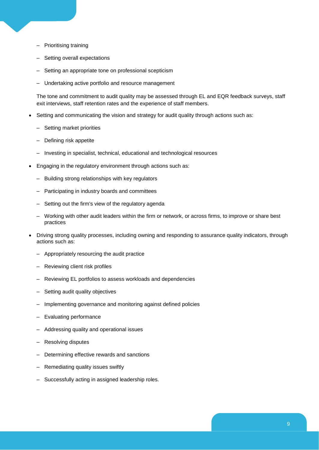- Prioritising training
- Setting overall expectations
- Setting an appropriate tone on professional scepticism
- Undertaking active portfolio and resource management

The tone and commitment to audit quality may be assessed through EL and EQR feedback surveys, staff exit interviews, staff retention rates and the experience of staff members.

- Setting and communicating the vision and strategy for audit quality through actions such as:
	- Setting market priorities
	- Defining risk appetite
	- Investing in specialist, technical, educational and technological resources
- Engaging in the regulatory environment through actions such as:
	- Building strong relationships with key regulators
	- Participating in industry boards and committees
	- Setting out the firm's view of the regulatory agenda
	- Working with other audit leaders within the firm or network, or across firms, to improve or share best practices
- Driving strong quality processes, including owning and responding to assurance quality indicators, through actions such as:
	- Appropriately resourcing the audit practice
	- Reviewing client risk profiles
	- Reviewing EL portfolios to assess workloads and dependencies
	- Setting audit quality objectives
	- Implementing governance and monitoring against defined policies
	- Evaluating performance
	- Addressing quality and operational issues
	- Resolving disputes
	- Determining effective rewards and sanctions
	- Remediating quality issues swiftly
	- Successfully acting in assigned leadership roles.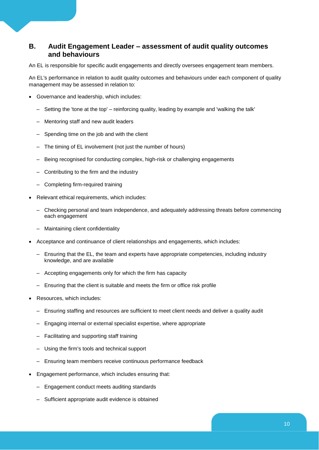#### **B. Audit Engagement Leader – assessment of audit quality outcomes and behaviours**

An EL is responsible for specific audit engagements and directly oversees engagement team members.

An EL's performance in relation to audit quality outcomes and behaviours under each component of quality management may be assessed in relation to:

- Governance and leadership, which includes:
	- Setting the 'tone at the top' reinforcing quality, leading by example and 'walking the talk'
	- Mentoring staff and new audit leaders
	- Spending time on the job and with the client
	- The timing of EL involvement (not just the number of hours)
	- Being recognised for conducting complex, high-risk or challenging engagements
	- Contributing to the firm and the industry
	- Completing firm-required training
- Relevant ethical requirements, which includes:
	- Checking personal and team independence, and adequately addressing threats before commencing each engagement
	- Maintaining client confidentiality
- Acceptance and continuance of client relationships and engagements, which includes:
	- Ensuring that the EL, the team and experts have appropriate competencies, including industry knowledge, and are available
	- Accepting engagements only for which the firm has capacity
	- Ensuring that the client is suitable and meets the firm or office risk profile
- Resources, which includes:
	- Ensuring staffing and resources are sufficient to meet client needs and deliver a quality audit
	- Engaging internal or external specialist expertise, where appropriate
	- Facilitating and supporting staff training
	- Using the firm's tools and technical support
	- Ensuring team members receive continuous performance feedback
- Engagement performance, which includes ensuring that:
	- Engagement conduct meets auditing standards
	- Sufficient appropriate audit evidence is obtained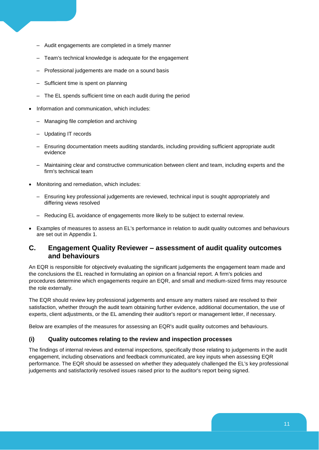- Audit engagements are completed in a timely manner
- Team's technical knowledge is adequate for the engagement
- Professional judgements are made on a sound basis
- Sufficient time is spent on planning
- The EL spends sufficient time on each audit during the period
- Information and communication, which includes:
	- Managing file completion and archiving
	- Updating IT records
	- Ensuring documentation meets auditing standards, including providing sufficient appropriate audit evidence
	- Maintaining clear and constructive communication between client and team, including experts and the firm's technical team
- Monitoring and remediation, which includes:
	- Ensuring key professional judgements are reviewed, technical input is sought appropriately and differing views resolved
	- Reducing EL avoidance of engagements more likely to be subject to external review.
- Examples of measures to assess an EL's performance in relation to audit quality outcomes and behaviours are set out in Appendix 1.

#### **C. Engagement Quality Reviewer – assessment of audit quality outcomes and behaviours**

An EQR is responsible for objectively evaluating the significant judgements the engagement team made and the conclusions the EL reached in formulating an opinion on a financial report. A firm's policies and procedures determine which engagements require an EQR, and small and medium-sized firms may resource the role externally.

The EQR should review key professional judgements and ensure any matters raised are resolved to their satisfaction, whether through the audit team obtaining further evidence, additional documentation, the use of experts, client adjustments, or the EL amending their auditor's report or management letter, if necessary.

Below are examples of the measures for assessing an EQR's audit quality outcomes and behaviours.

#### **(i) Quality outcomes relating to the review and inspection processes**

The findings of internal reviews and external inspections, specifically those relating to judgements in the audit engagement, including observations and feedback communicated, are key inputs when assessing EQR performance. The EQR should be assessed on whether they adequately challenged the EL's key professional judgements and satisfactorily resolved issues raised prior to the auditor's report being signed.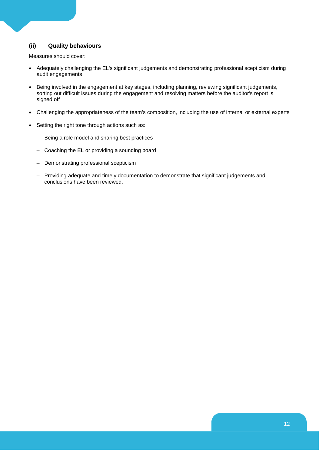#### **(ii) Quality behaviours**

Measures should cover:

- Adequately challenging the EL's significant judgements and demonstrating professional scepticism during audit engagements
- Being involved in the engagement at key stages, including planning, reviewing significant judgements, sorting out difficult issues during the engagement and resolving matters before the auditor's report is signed off
- Challenging the appropriateness of the team's composition, including the use of internal or external experts
- Setting the right tone through actions such as:
	- Being a role model and sharing best practices
	- Coaching the EL or providing a sounding board
	- Demonstrating professional scepticism
	- Providing adequate and timely documentation to demonstrate that significant judgements and conclusions have been reviewed.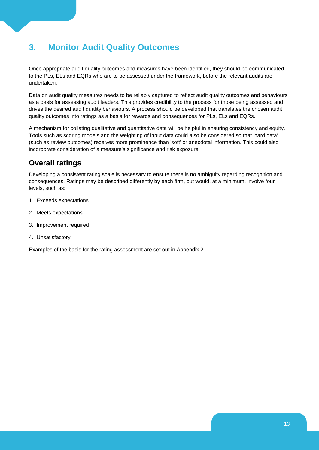## <span id="page-15-0"></span>**3. Monitor Audit Quality Outcomes**

Once appropriate audit quality outcomes and measures have been identified, they should be communicated to the PLs, ELs and EQRs who are to be assessed under the framework, before the relevant audits are undertaken.

Data on audit quality measures needs to be reliably captured to reflect audit quality outcomes and behaviours as a basis for assessing audit leaders. This provides credibility to the process for those being assessed and drives the desired audit quality behaviours. A process should be developed that translates the chosen audit quality outcomes into ratings as a basis for rewards and consequences for PLs, ELs and EQRs.

A mechanism for collating qualitative and quantitative data will be helpful in ensuring consistency and equity. Tools such as scoring models and the weighting of input data could also be considered so that 'hard data' (such as review outcomes) receives more prominence than 'soft' or anecdotal information. This could also incorporate consideration of a measure's significance and risk exposure.

### **Overall ratings**

Developing a consistent rating scale is necessary to ensure there is no ambiguity regarding recognition and consequences. Ratings may be described differently by each firm, but would, at a minimum, involve four levels, such as:

- 1. Exceeds expectations
- 2. Meets expectations
- 3. Improvement required
- 4. Unsatisfactory

Examples of the basis for the rating assessment are set out in Appendix 2.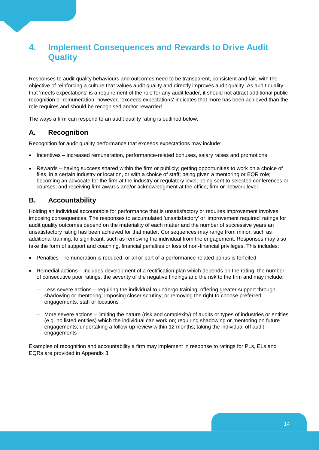## <span id="page-16-0"></span>**4. Implement Consequences and Rewards to Drive Audit Quality**

Responses to audit quality behaviours and outcomes need to be transparent, consistent and fair, with the objective of reinforcing a culture that values audit quality and directly improves audit quality. As audit quality that 'meets expectations' is a requirement of the role for any audit leader, it should not attract additional public recognition or remuneration; however, 'exceeds expectations' indicates that more has been achieved than the role requires and should be recognised and/or rewarded.

The ways a firm can respond to an audit quality rating is outlined below.

#### **A. Recognition**

Recognition for audit quality performance that exceeds expectations may include:

- Incentives increased remuneration, performance-related bonuses, salary raises and promotions
- Rewards having success shared within the firm or publicly; getting opportunities to work on a choice of files, in a certain industry or location, or with a choice of staff; being given a mentoring or EQR role; becoming an advocate for the firm at the industry or regulatory level; being sent to selected conferences or courses; and receiving firm awards and/or acknowledgment at the office, firm or network level.

#### **B. Accountability**

Holding an individual accountable for performance that is unsatisfactory or requires improvement involves imposing consequences. The responses to accumulated 'unsatisfactory' or 'improvement required' ratings for audit quality outcomes depend on the materiality of each matter and the number of successive years an unsatisfactory rating has been achieved for that matter. Consequences may range from minor, such as additional training, to significant, such as removing the individual from the engagement. Responses may also take the form of support and coaching, financial penalties or loss of non-financial privileges. This includes:

- Penalties remuneration is reduced, or all or part of a performance-related bonus is forfeited
- Remedial actions includes development of a rectification plan which depends on the rating, the number of consecutive poor ratings, the severity of the negative findings and the risk to the firm and may include:
	- Less severe actions requiring the individual to undergo training; offering greater support through shadowing or mentoring; imposing closer scrutiny; or removing the right to choose preferred engagements, staff or locations
	- More severe actions limiting the nature (risk and complexity) of audits or types of industries or entities (e.g. no listed entities) which the individual can work on; requiring shadowing or mentoring on future engagements; undertaking a follow-up review within 12 months; taking the individual off audit engagements

Examples of recognition and accountability a firm may implement in response to ratings for PLs, ELs and EQRs are provided in Appendix 3.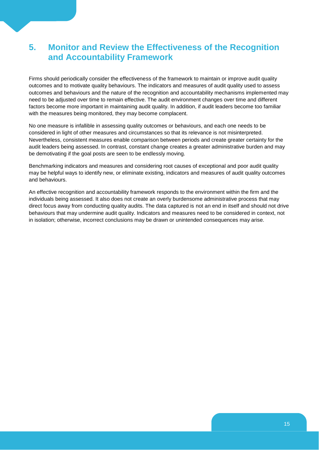### <span id="page-17-0"></span>**5. Monitor and Review the Effectiveness of the Recognition and Accountability Framework**

Firms should periodically consider the effectiveness of the framework to maintain or improve audit quality outcomes and to motivate quality behaviours. The indicators and measures of audit quality used to assess outcomes and behaviours and the nature of the recognition and accountability mechanisms implemented may need to be adjusted over time to remain effective. The audit environment changes over time and different factors become more important in maintaining audit quality. In addition, if audit leaders become too familiar with the measures being monitored, they may become complacent.

No one measure is infallible in assessing quality outcomes or behaviours, and each one needs to be considered in light of other measures and circumstances so that its relevance is not misinterpreted. Nevertheless, consistent measures enable comparison between periods and create greater certainty for the audit leaders being assessed. In contrast, constant change creates a greater administrative burden and may be demotivating if the goal posts are seen to be endlessly moving.

Benchmarking indicators and measures and considering root causes of exceptional and poor audit quality may be helpful ways to identify new, or eliminate existing, indicators and measures of audit quality outcomes and behaviours.

An effective recognition and accountability framework responds to the environment within the firm and the individuals being assessed. It also does not create an overly burdensome administrative process that may direct focus away from conducting quality audits. The data captured is not an end in itself and should not drive behaviours that may undermine audit quality. Indicators and measures need to be considered in context, not in isolation; otherwise, incorrect conclusions may be drawn or unintended consequences may arise.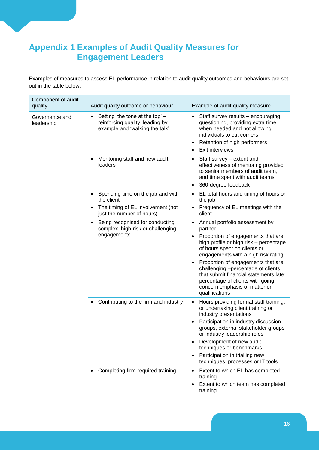## <span id="page-18-0"></span>**Appendix 1 Examples of Audit Quality Measures for Engagement Leaders**

Examples of measures to assess EL performance in relation to audit quality outcomes and behaviours are set out in the table below.

| Component of audit<br>quality | Audit quality outcome or behaviour                                                                                | Example of audit quality measure                                                                                                                                                                                                                                                                                                                                      |
|-------------------------------|-------------------------------------------------------------------------------------------------------------------|-----------------------------------------------------------------------------------------------------------------------------------------------------------------------------------------------------------------------------------------------------------------------------------------------------------------------------------------------------------------------|
| Governance and<br>leadership  | Setting 'the tone at the top' -<br>$\bullet$<br>reinforcing quality, leading by<br>example and 'walking the talk' | Staff survey results - encouraging<br>$\bullet$<br>questioning, providing extra time<br>when needed and not allowing<br>individuals to cut corners<br>Retention of high performers<br>٠<br>Exit interviews                                                                                                                                                            |
|                               | Mentoring staff and new audit<br>leaders                                                                          | Staff survey - extent and<br>٠<br>effectiveness of mentoring provided<br>to senior members of audit team,<br>and time spent with audit teams<br>360-degree feedback<br>$\bullet$                                                                                                                                                                                      |
|                               | Spending time on the job and with<br>the client<br>The timing of EL involvement (not                              | EL total hours and timing of hours on<br>$\bullet$<br>the job<br>Frequency of EL meetings with the                                                                                                                                                                                                                                                                    |
|                               | just the number of hours)                                                                                         | client                                                                                                                                                                                                                                                                                                                                                                |
|                               | Being recognised for conducting<br>complex, high-risk or challenging                                              | Annual portfolio assessment by<br>partner                                                                                                                                                                                                                                                                                                                             |
|                               | engagements                                                                                                       | Proportion of engagements that are<br>high profile or high risk - percentage<br>of hours spent on clients or<br>engagements with a high risk rating<br>Proportion of engagements that are<br>٠<br>challenging -percentage of clients<br>that submit financial statements late;<br>percentage of clients with going<br>concern emphasis of matter or<br>qualifications |
|                               | Contributing to the firm and industry<br>$\bullet$                                                                | Hours providing formal staff training,<br>$\bullet$<br>or undertaking client training or<br>industry presentations                                                                                                                                                                                                                                                    |
|                               |                                                                                                                   | Participation in industry discussion<br>groups, external stakeholder groups<br>or industry leadership roles                                                                                                                                                                                                                                                           |
|                               |                                                                                                                   | Development of new audit<br>techniques or benchmarks<br>Participation in trialling new<br>$\bullet$<br>techniques, processes or IT tools                                                                                                                                                                                                                              |
|                               | Completing firm-required training                                                                                 | Extent to which EL has completed<br>$\bullet$<br>training<br>Extent to which team has completed<br>training                                                                                                                                                                                                                                                           |
|                               |                                                                                                                   |                                                                                                                                                                                                                                                                                                                                                                       |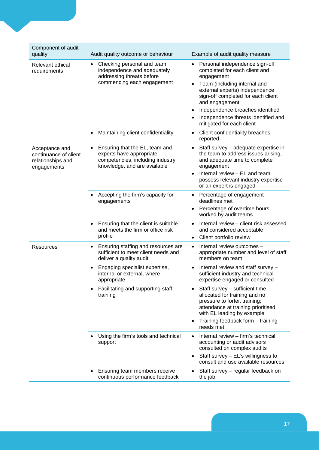| Component of audit<br>quality                                               | Audit quality outcome or behaviour                                                                                                          | Example of audit quality measure                                                                                                                                                                                                                                                                                |
|-----------------------------------------------------------------------------|---------------------------------------------------------------------------------------------------------------------------------------------|-----------------------------------------------------------------------------------------------------------------------------------------------------------------------------------------------------------------------------------------------------------------------------------------------------------------|
| Relevant ethical<br>requirements                                            | Checking personal and team<br>$\bullet$<br>independence and adequately<br>addressing threats before<br>commencing each engagement           | Personal independence sign-off<br>completed for each client and<br>engagement<br>Team (including internal and<br>external experts) independence<br>sign-off completed for each client<br>and engagement<br>Independence breaches identified<br>Independence threats identified and<br>mitigated for each client |
|                                                                             | Maintaining client confidentiality<br>¢                                                                                                     | Client confidentiality breaches<br>٠<br>reported                                                                                                                                                                                                                                                                |
| Acceptance and<br>continuance of client<br>relationships and<br>engagements | Ensuring that the EL, team and<br>$\bullet$<br>experts have appropriate<br>competencies, including industry<br>knowledge, and are available | Staff survey - adequate expertise in<br>the team to address issues arising,<br>and adequate time to complete<br>engagement<br>Internal review - EL and team<br>possess relevant industry expertise<br>or an expert is engaged                                                                                   |
|                                                                             | Accepting the firm's capacity for<br>$\bullet$<br>engagements                                                                               | Percentage of engagement<br>deadlines met<br>Percentage of overtime hours<br>worked by audit teams                                                                                                                                                                                                              |
|                                                                             | Ensuring that the client is suitable<br>$\bullet$<br>and meets the firm or office risk<br>profile                                           | Internal review - client risk assessed<br>and considered acceptable<br>Client portfolio review                                                                                                                                                                                                                  |
| <b>Resources</b>                                                            | Ensuring staffing and resources are<br>$\bullet$<br>sufficient to meet client needs and<br>deliver a quality audit                          | Internal review outcomes -<br>appropriate number and level of staff<br>members on team                                                                                                                                                                                                                          |
|                                                                             | Engaging specialist expertise,<br>$\bullet$<br>internal or external, where<br>appropriate                                                   | Internal review and staff survey -<br>$\bullet$<br>sufficient industry and technical<br>expertise engaged or consulted                                                                                                                                                                                          |
|                                                                             | Facilitating and supporting staff<br>training                                                                                               | Staff survey - sufficient time<br>allocated for training and no<br>pressure to forfeit training;<br>attendance at training prioritised,<br>with EL leading by example<br>Training feedback form - training<br>needs met                                                                                         |
|                                                                             | Using the firm's tools and technical<br>support                                                                                             | Internal review - firm's technical<br>accounting or audit advisors<br>consulted on complex audits<br>Staff survey - EL's willingness to<br>$\bullet$<br>consult and use available resources                                                                                                                     |
|                                                                             | Ensuring team members receive<br>continuous performance feedback                                                                            | Staff survey - regular feedback on<br>the job                                                                                                                                                                                                                                                                   |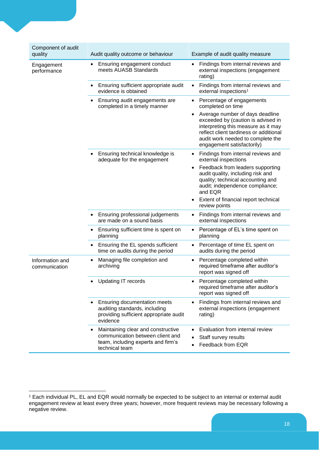| Component of audit<br>quality    | Audit quality outcome or behaviour                                                                                             | Example of audit quality measure                                                                                                                                                                                          |
|----------------------------------|--------------------------------------------------------------------------------------------------------------------------------|---------------------------------------------------------------------------------------------------------------------------------------------------------------------------------------------------------------------------|
| Engagement<br>performance        | Ensuring engagement conduct<br>meets AUASB Standards                                                                           | Findings from internal reviews and<br>٠<br>external inspections (engagement<br>rating)                                                                                                                                    |
|                                  | Ensuring sufficient appropriate audit<br>evidence is obtained                                                                  | Findings from internal reviews and<br>$\bullet$<br>external inspections <sup>1</sup>                                                                                                                                      |
|                                  | Ensuring audit engagements are<br>completed in a timely manner                                                                 | Percentage of engagements<br>$\bullet$<br>completed on time                                                                                                                                                               |
|                                  |                                                                                                                                | Average number of days deadline<br>exceeded by (caution is advised in<br>interpreting this measure as it may<br>reflect client tardiness or additional<br>audit work needed to complete the<br>engagement satisfactorily) |
|                                  | Ensuring technical knowledge is<br>adequate for the engagement                                                                 | Findings from internal reviews and<br>external inspections                                                                                                                                                                |
|                                  |                                                                                                                                | Feedback from leaders supporting<br>audit quality, including risk and<br>quality; technical accounting and<br>audit; independence compliance;<br>and EQR                                                                  |
|                                  |                                                                                                                                | Extent of financial report technical<br>review points                                                                                                                                                                     |
|                                  | Ensuring professional judgements<br>are made on a sound basis                                                                  | Findings from internal reviews and<br>external inspections                                                                                                                                                                |
|                                  | Ensuring sufficient time is spent on<br>planning                                                                               | Percentage of EL's time spent on<br>٠<br>planning                                                                                                                                                                         |
|                                  | Ensuring the EL spends sufficient<br>time on audits during the period                                                          | Percentage of time EL spent on<br>$\bullet$<br>audits during the period                                                                                                                                                   |
| Information and<br>communication | Managing file completion and<br>archiving                                                                                      | Percentage completed within<br>required timeframe after auditor's<br>report was signed off                                                                                                                                |
|                                  | <b>Updating IT records</b>                                                                                                     | Percentage completed within<br>$\bullet$<br>required timeframe after auditor's<br>report was signed off                                                                                                                   |
|                                  | <b>Ensuring documentation meets</b><br>auditing standards, including<br>providing sufficient appropriate audit<br>evidence     | Findings from internal reviews and<br>external inspections (engagement<br>rating)                                                                                                                                         |
|                                  | Maintaining clear and constructive<br>communication between client and<br>team, including experts and firm's<br>technical team | Evaluation from internal review<br>Staff survey results<br>Feedback from EQR                                                                                                                                              |

-

<sup>1</sup> Each individual PL, EL and EQR would normally be expected to be subject to an internal or external audit engagement review at least every three years; however, more frequent reviews may be necessary following a negative review.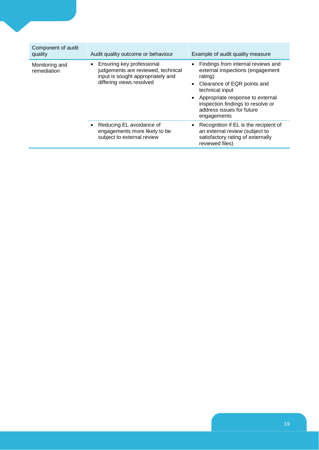| Component of audit<br>quality | Audit quality outcome or behaviour                                                                                               | Example of audit quality measure                                                                                                                                                                                                                             |
|-------------------------------|----------------------------------------------------------------------------------------------------------------------------------|--------------------------------------------------------------------------------------------------------------------------------------------------------------------------------------------------------------------------------------------------------------|
| Monitoring and<br>remediation | Ensuring key professional<br>judgements are reviewed, technical<br>input is sought appropriately and<br>differing views resolved | Findings from internal reviews and<br>external inspections (engagement<br>rating)<br>• Clearance of EQR points and<br>technical input<br>• Appropriate response to external<br>inspection findings to resolve or<br>address issues for future<br>engagements |
|                               | Reducing EL avoidance of<br>engagements more likely to be<br>subject to external review                                          | • Recognition if EL is the recipient of<br>an external review (subject to<br>satisfactory rating of externally<br>reviewed files)                                                                                                                            |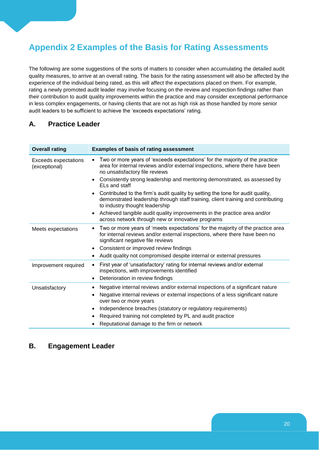## <span id="page-22-0"></span>**Appendix 2 Examples of the Basis for Rating Assessments**

The following are some suggestions of the sorts of matters to consider when accumulating the detailed audit quality measures, to arrive at an overall rating. The basis for the rating assessment will also be affected by the experience of the individual being rated, as this will affect the expectations placed on them. For example, rating a newly promoted audit leader may involve focusing on the review and inspection findings rather than their contribution to audit quality improvements within the practice and may consider exceptional performance in less complex engagements, or having clients that are not as high risk as those handled by more senior audit leaders to be sufficient to achieve the 'exceeds expectations' rating.

#### **A. Practice Leader**

| <b>Overall rating</b>                        | <b>Examples of basis of rating assessment</b>                                                                                                                                                                     |
|----------------------------------------------|-------------------------------------------------------------------------------------------------------------------------------------------------------------------------------------------------------------------|
| <b>Exceeds expectations</b><br>(exceptional) | Two or more years of 'exceeds expectations' for the majority of the practice<br>$\bullet$<br>area for internal reviews and/or external inspections, where there have been<br>no unsatisfactory file reviews       |
|                                              | Consistently strong leadership and mentoring demonstrated, as assessed by<br>٠<br>ELs and staff                                                                                                                   |
|                                              | Contributed to the firm's audit quality by setting the tone for audit quality,<br>$\bullet$<br>demonstrated leadership through staff training, client training and contributing<br>to industry thought leadership |
|                                              | Achieved tangible audit quality improvements in the practice area and/or<br>٠<br>across network through new or innovative programs                                                                                |
| Meets expectations                           | Two or more years of 'meets expectations' for the majority of the practice area<br>$\bullet$<br>for internal reviews and/or external inspections, where there have been no<br>significant negative file reviews   |
|                                              | Consistent or improved review findings                                                                                                                                                                            |
|                                              | Audit quality not compromised despite internal or external pressures                                                                                                                                              |
| Improvement required                         | First year of 'unsatisfactory' rating for internal reviews and/or external<br>٠<br>inspections, with improvements identified<br>Deterioration in review findings<br>$\bullet$                                     |
| Unsatisfactory                               | Negative internal reviews and/or external inspections of a significant nature                                                                                                                                     |
|                                              | Negative internal reviews or external inspections of a less significant nature<br>٠<br>over two or more years                                                                                                     |
|                                              | Independence breaches (statutory or regulatory requirements)<br>$\bullet$                                                                                                                                         |
|                                              | Required training not completed by PL and audit practice<br>٠                                                                                                                                                     |
|                                              | Reputational damage to the firm or network                                                                                                                                                                        |

#### **B. Engagement Leader**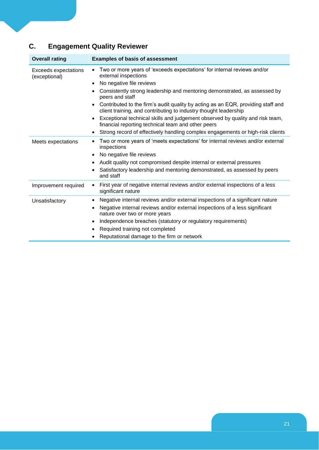## **C. Engagement Quality Reviewer**

| <b>Overall rating</b>                        | <b>Examples of basis of assessment</b>                                                                                                                            |
|----------------------------------------------|-------------------------------------------------------------------------------------------------------------------------------------------------------------------|
| <b>Exceeds expectations</b><br>(exceptional) | Two or more years of 'exceeds expectations' for internal reviews and/or<br>external inspections                                                                   |
|                                              | No negative file reviews<br>$\bullet$                                                                                                                             |
|                                              | Consistently strong leadership and mentoring demonstrated, as assessed by<br>٠<br>peers and staff                                                                 |
|                                              | Contributed to the firm's audit quality by acting as an EQR, providing staff and<br>$\bullet$<br>client training, and contributing to industry thought leadership |
|                                              | Exceptional technical skills and judgement observed by quality and risk team,<br>$\bullet$<br>financial reporting technical team and other peers                  |
|                                              | Strong record of effectively handling complex engagements or high-risk clients<br>٠                                                                               |
| Meets expectations                           | Two or more years of 'meets expectations' for internal reviews and/or external<br>٠<br>inspections                                                                |
|                                              | No negative file reviews<br>٠                                                                                                                                     |
|                                              | Audit quality not compromised despite internal or external pressures<br>$\bullet$                                                                                 |
|                                              | Satisfactory leadership and mentoring demonstrated, as assessed by peers<br>$\bullet$<br>and staff                                                                |
| Improvement required                         | First year of negative internal reviews and/or external inspections of a less<br>$\bullet$<br>significant nature                                                  |
| Unsatisfactory                               | Negative internal reviews and/or external inspections of a significant nature<br>$\bullet$                                                                        |
|                                              | Negative internal reviews and/or external inspections of a less significant<br>$\bullet$<br>nature over two or more years                                         |
|                                              | Independence breaches (statutory or regulatory requirements)<br>$\bullet$                                                                                         |
|                                              | Required training not completed<br>٠                                                                                                                              |
|                                              | Reputational damage to the firm or network                                                                                                                        |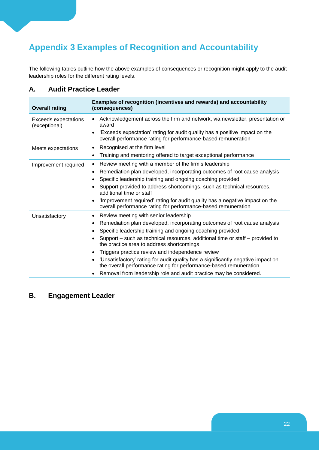## <span id="page-24-0"></span>**Appendix 3 Examples of Recognition and Accountability**

The following tables outline how the above examples of consequences or recognition might apply to the audit leadership roles for the different rating levels.

#### **A. Audit Practice Leader**

| <b>Overall rating</b>                        | Examples of recognition (incentives and rewards) and accountability<br>(consequences)                                                                              |
|----------------------------------------------|--------------------------------------------------------------------------------------------------------------------------------------------------------------------|
| <b>Exceeds expectations</b><br>(exceptional) | Acknowledgement across the firm and network, via newsletter, presentation or<br>award                                                                              |
|                                              | 'Exceeds expectation' rating for audit quality has a positive impact on the<br>$\bullet$<br>overall performance rating for performance-based remuneration          |
| Meets expectations                           | Recognised at the firm level<br>٠                                                                                                                                  |
|                                              | Training and mentoring offered to target exceptional performance<br>$\bullet$                                                                                      |
| Improvement required                         | Review meeting with a member of the firm's leadership<br>$\bullet$                                                                                                 |
|                                              | Remediation plan developed, incorporating outcomes of root cause analysis<br>$\bullet$                                                                             |
|                                              | Specific leadership training and ongoing coaching provided<br>٠                                                                                                    |
|                                              | Support provided to address shortcomings, such as technical resources,<br>additional time or staff                                                                 |
|                                              | 'Improvement required' rating for audit quality has a negative impact on the<br>$\bullet$<br>overall performance rating for performance-based remuneration         |
| Unsatisfactory                               | Review meeting with senior leadership<br>٠                                                                                                                         |
|                                              | Remediation plan developed, incorporating outcomes of root cause analysis<br>٠                                                                                     |
|                                              | Specific leadership training and ongoing coaching provided<br>$\bullet$                                                                                            |
|                                              | Support – such as technical resources, additional time or staff – provided to<br>$\bullet$<br>the practice area to address shortcomings                            |
|                                              | Triggers practice review and independence review<br>$\bullet$                                                                                                      |
|                                              | 'Unsatisfactory' rating for audit quality has a significantly negative impact on<br>$\bullet$<br>the overall performance rating for performance-based remuneration |
|                                              | Removal from leadership role and audit practice may be considered.                                                                                                 |

#### **B. Engagement Leader**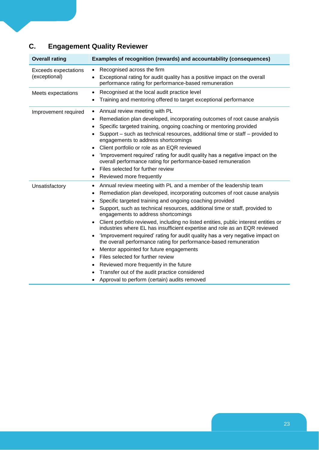| C. | <b>Engagement Quality Reviewer</b> |  |  |
|----|------------------------------------|--|--|
|----|------------------------------------|--|--|

| <b>Overall rating</b>                 | Examples of recognition (rewards) and accountability (consequences)                                                                                                                                                                                                                                                                                                                                                                                                                                                                                                                                                                                                                                                                                                                                                                                                                                                                                                                       |  |  |
|---------------------------------------|-------------------------------------------------------------------------------------------------------------------------------------------------------------------------------------------------------------------------------------------------------------------------------------------------------------------------------------------------------------------------------------------------------------------------------------------------------------------------------------------------------------------------------------------------------------------------------------------------------------------------------------------------------------------------------------------------------------------------------------------------------------------------------------------------------------------------------------------------------------------------------------------------------------------------------------------------------------------------------------------|--|--|
| Exceeds expectations<br>(exceptional) | Recognised across the firm<br>$\bullet$<br>Exceptional rating for audit quality has a positive impact on the overall<br>$\bullet$<br>performance rating for performance-based remuneration                                                                                                                                                                                                                                                                                                                                                                                                                                                                                                                                                                                                                                                                                                                                                                                                |  |  |
| Meets expectations                    | Recognised at the local audit practice level<br>$\bullet$<br>Training and mentoring offered to target exceptional performance<br>٠                                                                                                                                                                                                                                                                                                                                                                                                                                                                                                                                                                                                                                                                                                                                                                                                                                                        |  |  |
| Improvement required                  | Annual review meeting with PL<br>$\bullet$<br>Remediation plan developed, incorporating outcomes of root cause analysis<br>٠<br>Specific targeted training, ongoing coaching or mentoring provided<br>$\bullet$<br>Support – such as technical resources, additional time or staff – provided to<br>engagements to address shortcomings<br>Client portfolio or role as an EQR reviewed<br>$\bullet$<br>'Improvement required' rating for audit quality has a negative impact on the<br>$\bullet$<br>overall performance rating for performance-based remuneration<br>Files selected for further review<br>$\bullet$<br>Reviewed more frequently<br>٠                                                                                                                                                                                                                                                                                                                                      |  |  |
| Unsatisfactory                        | Annual review meeting with PL and a member of the leadership team<br>٠<br>Remediation plan developed, incorporating outcomes of root cause analysis<br>٠<br>Specific targeted training and ongoing coaching provided<br>$\bullet$<br>Support, such as technical resources, additional time or staff, provided to<br>$\bullet$<br>engagements to address shortcomings<br>Client portfolio reviewed, including no listed entities, public interest entities or<br>٠<br>industries where EL has insufficient expertise and role as an EQR reviewed<br>'Improvement required' rating for audit quality has a very negative impact on<br>$\bullet$<br>the overall performance rating for performance-based remuneration<br>Mentor appointed for future engagements<br>$\bullet$<br>Files selected for further review<br>$\bullet$<br>Reviewed more frequently in the future<br>$\bullet$<br>Transfer out of the audit practice considered<br>Approval to perform (certain) audits removed<br>٠ |  |  |